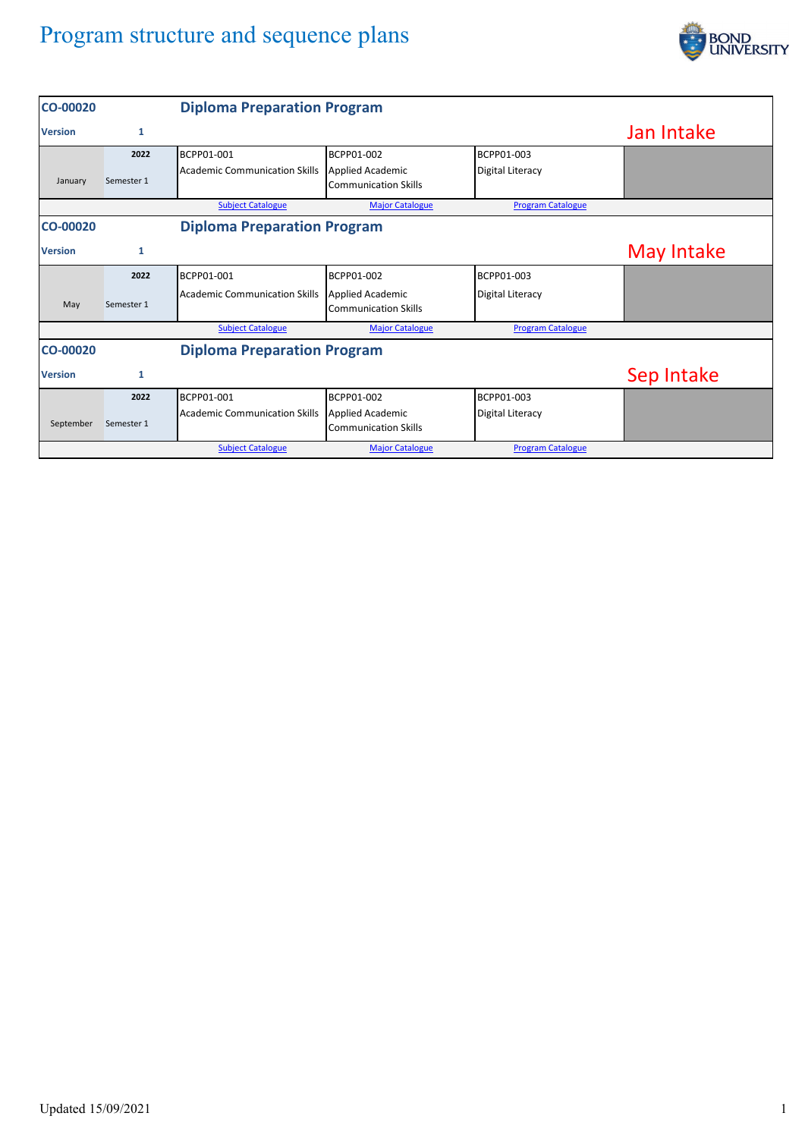## Program structure and sequence plans



| <b>CO-00020</b> |              | <b>Diploma Preparation Program</b>   |                                                        |                          |            |
|-----------------|--------------|--------------------------------------|--------------------------------------------------------|--------------------------|------------|
| <b>Version</b>  | 1            |                                      |                                                        |                          | Jan Intake |
|                 | 2022         | BCPP01-001                           | BCPP01-002                                             | BCPP01-003               |            |
| January         | Semester 1   | <b>Academic Communication Skills</b> | <b>Applied Academic</b><br><b>Communication Skills</b> | <b>Digital Literacy</b>  |            |
|                 |              | <b>Subject Catalogue</b>             | <b>Major Catalogue</b>                                 | <b>Program Catalogue</b> |            |
| <b>CO-00020</b> |              | <b>Diploma Preparation Program</b>   |                                                        |                          |            |
| <b>Version</b>  | 1            |                                      |                                                        |                          | May Intake |
|                 | 2022         | BCPP01-001                           | BCPP01-002                                             | BCPP01-003               |            |
| May             | Semester 1   | <b>Academic Communication Skills</b> | <b>Applied Academic</b><br><b>Communication Skills</b> | <b>Digital Literacy</b>  |            |
|                 |              | <b>Subject Catalogue</b>             | <b>Major Catalogue</b>                                 | <b>Program Catalogue</b> |            |
| <b>CO-00020</b> |              | <b>Diploma Preparation Program</b>   |                                                        |                          |            |
| <b>Version</b>  | $\mathbf{1}$ |                                      |                                                        |                          | Sep Intake |
|                 | 2022         | BCPP01-001                           | BCPP01-002                                             | BCPP01-003               |            |
| September       | Semester 1   | <b>Academic Communication Skills</b> | <b>Applied Academic</b><br><b>Communication Skills</b> | <b>Digital Literacy</b>  |            |
|                 |              | <b>Subject Catalogue</b>             | <b>Major Catalogue</b>                                 | <b>Program Catalogue</b> |            |